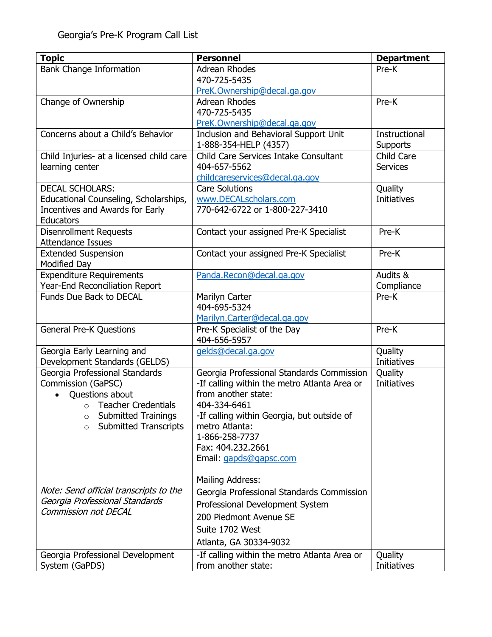| <b>Bank Change Information</b><br><b>Adrean Rhodes</b><br>Pre-K<br>470-725-5435<br>PreK.Ownership@decal.ga.gov<br>Change of Ownership<br><b>Adrean Rhodes</b><br>Pre-K<br>470-725-5435<br>PreK.Ownership@decal.ga.gov<br>Concerns about a Child's Behavior<br>Inclusion and Behavioral Support Unit<br>Instructional<br>1-888-354-HELP (4357)<br><b>Supports</b> |
|------------------------------------------------------------------------------------------------------------------------------------------------------------------------------------------------------------------------------------------------------------------------------------------------------------------------------------------------------------------|
|                                                                                                                                                                                                                                                                                                                                                                  |
|                                                                                                                                                                                                                                                                                                                                                                  |
|                                                                                                                                                                                                                                                                                                                                                                  |
|                                                                                                                                                                                                                                                                                                                                                                  |
|                                                                                                                                                                                                                                                                                                                                                                  |
|                                                                                                                                                                                                                                                                                                                                                                  |
|                                                                                                                                                                                                                                                                                                                                                                  |
|                                                                                                                                                                                                                                                                                                                                                                  |
| Child Care Services Intake Consultant<br>Child Care<br>Child Injuries- at a licensed child care                                                                                                                                                                                                                                                                  |
| learning center<br>404-657-5562<br><b>Services</b>                                                                                                                                                                                                                                                                                                               |
| childcareservices@decal.ga.gov                                                                                                                                                                                                                                                                                                                                   |
| <b>Care Solutions</b><br><b>DECAL SCHOLARS:</b><br>Quality                                                                                                                                                                                                                                                                                                       |
| Educational Counseling, Scholarships,<br>www.DECALscholars.com<br><b>Initiatives</b>                                                                                                                                                                                                                                                                             |
| Incentives and Awards for Early<br>770-642-6722 or 1-800-227-3410                                                                                                                                                                                                                                                                                                |
| Educators                                                                                                                                                                                                                                                                                                                                                        |
| <b>Disenrollment Requests</b><br>Pre-K<br>Contact your assigned Pre-K Specialist                                                                                                                                                                                                                                                                                 |
| <b>Attendance Issues</b>                                                                                                                                                                                                                                                                                                                                         |
| <b>Extended Suspension</b><br>Contact your assigned Pre-K Specialist<br>Pre-K                                                                                                                                                                                                                                                                                    |
| <b>Modified Day</b>                                                                                                                                                                                                                                                                                                                                              |
| Expenditure Requirements<br>Audits &<br>Panda.Recon@decal.ga.gov                                                                                                                                                                                                                                                                                                 |
| Year-End Reconciliation Report<br>Compliance                                                                                                                                                                                                                                                                                                                     |
| Funds Due Back to DECAL<br>Pre-K<br>Marilyn Carter                                                                                                                                                                                                                                                                                                               |
| 404-695-5324                                                                                                                                                                                                                                                                                                                                                     |
| Marilyn.Carter@decal.ga.gov                                                                                                                                                                                                                                                                                                                                      |
| Pre-K<br><b>General Pre-K Questions</b><br>Pre-K Specialist of the Day                                                                                                                                                                                                                                                                                           |
| 404-656-5957                                                                                                                                                                                                                                                                                                                                                     |
| Georgia Early Learning and<br>Quality<br>gelds@decal.ga.gov                                                                                                                                                                                                                                                                                                      |
| Development Standards (GELDS)<br>Initiatives                                                                                                                                                                                                                                                                                                                     |
| Georgia Professional Standards<br>Georgia Professional Standards Commission<br>Quality                                                                                                                                                                                                                                                                           |
| Commission (GaPSC)<br>-If calling within the metro Atlanta Area or<br><b>Initiatives</b>                                                                                                                                                                                                                                                                         |
| from another state:<br>Questions about                                                                                                                                                                                                                                                                                                                           |
| <b>Teacher Credentials</b><br>404-334-6461<br>$\Omega$                                                                                                                                                                                                                                                                                                           |
| -If calling within Georgia, but outside of<br><b>Submitted Trainings</b><br>O                                                                                                                                                                                                                                                                                    |
| <b>Submitted Transcripts</b><br>metro Atlanta:<br>$\circ$                                                                                                                                                                                                                                                                                                        |
| 1-866-258-7737                                                                                                                                                                                                                                                                                                                                                   |
| Fax: 404.232.2661                                                                                                                                                                                                                                                                                                                                                |
| Email: gapds@gapsc.com                                                                                                                                                                                                                                                                                                                                           |
|                                                                                                                                                                                                                                                                                                                                                                  |
| <b>Mailing Address:</b><br>Note: Send official transcripts to the                                                                                                                                                                                                                                                                                                |
| Georgia Professional Standards Commission<br>Georgia Professional Standards                                                                                                                                                                                                                                                                                      |
| Professional Development System<br><b>Commission not DECAL</b>                                                                                                                                                                                                                                                                                                   |
| 200 Piedmont Avenue SE                                                                                                                                                                                                                                                                                                                                           |
| Suite 1702 West                                                                                                                                                                                                                                                                                                                                                  |
| Atlanta, GA 30334-9032                                                                                                                                                                                                                                                                                                                                           |
| Georgia Professional Development<br>-If calling within the metro Atlanta Area or<br>Quality                                                                                                                                                                                                                                                                      |
| from another state:<br><b>Initiatives</b><br>System (GaPDS)                                                                                                                                                                                                                                                                                                      |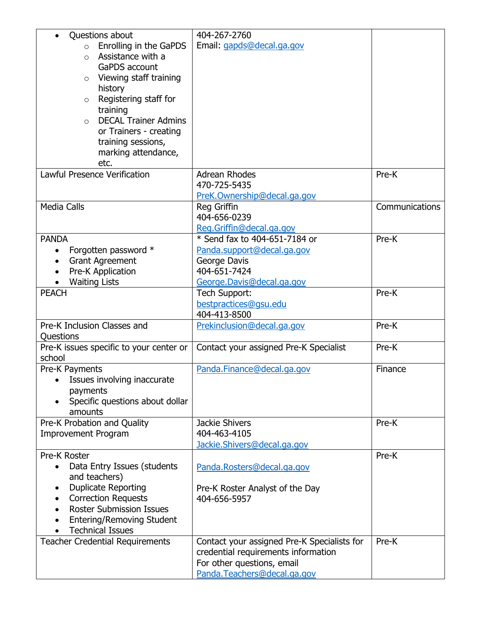| Questions about<br>$\circ$ Enrolling in the GaPDS<br>Assistance with a<br>$\circ$<br>GaPDS account<br>Viewing staff training<br>$\circ$<br>history                                                                                            | 404-267-2760<br>Email: gapds@decal.ga.gov                                                                                                       |                |
|-----------------------------------------------------------------------------------------------------------------------------------------------------------------------------------------------------------------------------------------------|-------------------------------------------------------------------------------------------------------------------------------------------------|----------------|
| Registering staff for<br>$\circ$<br>training<br><b>DECAL Trainer Admins</b><br>$\Omega$<br>or Trainers - creating<br>training sessions,<br>marking attendance,<br>etc.                                                                        |                                                                                                                                                 |                |
| <b>Lawful Presence Verification</b>                                                                                                                                                                                                           | <b>Adrean Rhodes</b><br>470-725-5435<br>PreK.Ownership@decal.ga.gov                                                                             | Pre-K          |
| <b>Media Calls</b>                                                                                                                                                                                                                            | <b>Reg Griffin</b><br>404-656-0239<br>Reg.Griffin@decal.ga.gov                                                                                  | Communications |
| <b>PANDA</b><br>Forgotten password *<br><b>Grant Agreement</b><br>$\bullet$<br>Pre-K Application<br><b>Waiting Lists</b>                                                                                                                      | * Send fax to 404-651-7184 or<br>Panda.support@decal.ga.gov<br>George Davis<br>404-651-7424<br>George.Davis@decal.ga.gov                        | Pre-K          |
| <b>PEACH</b>                                                                                                                                                                                                                                  | Tech Support:<br>bestpractices@gsu.edu<br>404-413-8500                                                                                          | Pre-K          |
| Pre-K Inclusion Classes and<br>Questions                                                                                                                                                                                                      | Prekinclusion@decal.ga.gov                                                                                                                      | Pre-K          |
| Pre-K issues specific to your center or<br>school                                                                                                                                                                                             | Contact your assigned Pre-K Specialist                                                                                                          | Pre-K          |
| Pre-K Payments<br>Issues involving inaccurate<br>payments<br>Specific questions about dollar<br>amounts                                                                                                                                       | Panda.Finance@decal.ga.gov                                                                                                                      | Finance        |
| Pre-K Probation and Quality<br><b>Improvement Program</b>                                                                                                                                                                                     | <b>Jackie Shivers</b><br>404-463-4105<br>Jackie.Shivers@decal.ga.gov                                                                            | Pre-K          |
| Pre-K Roster<br>Data Entry Issues (students<br>$\bullet$<br>and teachers)<br><b>Duplicate Reporting</b><br><b>Correction Requests</b><br>$\bullet$<br><b>Roster Submission Issues</b><br>Entering/Removing Student<br><b>Technical Issues</b> | Panda.Rosters@decal.ga.gov<br>Pre-K Roster Analyst of the Day<br>404-656-5957                                                                   | Pre-K          |
| <b>Teacher Credential Requirements</b>                                                                                                                                                                                                        | Contact your assigned Pre-K Specialists for<br>credential requirements information<br>For other questions, email<br>Panda.Teachers@decal.ga.gov | Pre-K          |